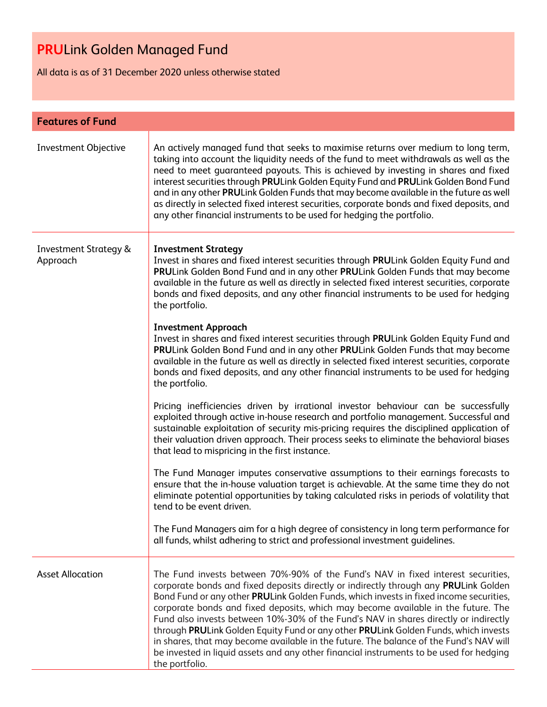All data is as of 31 December 2020 unless otherwise stated

| <b>Features of Fund</b>                      |                                                                                                                                                                                                                                                                                                                                                                                                                                                                                                                                                                                                                                                                                                                                               |  |
|----------------------------------------------|-----------------------------------------------------------------------------------------------------------------------------------------------------------------------------------------------------------------------------------------------------------------------------------------------------------------------------------------------------------------------------------------------------------------------------------------------------------------------------------------------------------------------------------------------------------------------------------------------------------------------------------------------------------------------------------------------------------------------------------------------|--|
| Investment Objective                         | An actively managed fund that seeks to maximise returns over medium to long term,<br>taking into account the liquidity needs of the fund to meet withdrawals as well as the<br>need to meet guaranteed payouts. This is achieved by investing in shares and fixed<br>interest securities through PRULink Golden Equity Fund and PRULink Golden Bond Fund<br>and in any other PRULink Golden Funds that may become available in the future as well<br>as directly in selected fixed interest securities, corporate bonds and fixed deposits, and<br>any other financial instruments to be used for hedging the portfolio.                                                                                                                      |  |
| <b>Investment Strategy &amp;</b><br>Approach | <b>Investment Strategy</b><br>Invest in shares and fixed interest securities through PRULink Golden Equity Fund and<br>PRULink Golden Bond Fund and in any other PRULink Golden Funds that may become<br>available in the future as well as directly in selected fixed interest securities, corporate<br>bonds and fixed deposits, and any other financial instruments to be used for hedging<br>the portfolio.                                                                                                                                                                                                                                                                                                                               |  |
|                                              | <b>Investment Approach</b><br>Invest in shares and fixed interest securities through PRULink Golden Equity Fund and<br>PRULink Golden Bond Fund and in any other PRULink Golden Funds that may become<br>available in the future as well as directly in selected fixed interest securities, corporate<br>bonds and fixed deposits, and any other financial instruments to be used for hedging<br>the portfolio.                                                                                                                                                                                                                                                                                                                               |  |
|                                              | Pricing inefficiencies driven by irrational investor behaviour can be successfully<br>exploited through active in-house research and portfolio management. Successful and<br>sustainable exploitation of security mis-pricing requires the disciplined application of<br>their valuation driven approach. Their process seeks to eliminate the behavioral biases<br>that lead to mispricing in the first instance.                                                                                                                                                                                                                                                                                                                            |  |
|                                              | The Fund Manager imputes conservative assumptions to their earnings forecasts to<br>ensure that the in-house valuation target is achievable. At the same time they do not<br>eliminate potential opportunities by taking calculated risks in periods of volatility that<br>tend to be event driven.                                                                                                                                                                                                                                                                                                                                                                                                                                           |  |
|                                              | The Fund Managers aim for a high degree of consistency in long term performance for<br>all funds, whilst adhering to strict and professional investment guidelines.                                                                                                                                                                                                                                                                                                                                                                                                                                                                                                                                                                           |  |
| <b>Asset Allocation</b>                      | The Fund invests between 70%-90% of the Fund's NAV in fixed interest securities,<br>corporate bonds and fixed deposits directly or indirectly through any PRULink Golden<br>Bond Fund or any other PRULink Golden Funds, which invests in fixed income securities,<br>corporate bonds and fixed deposits, which may become available in the future. The<br>Fund also invests between 10%-30% of the Fund's NAV in shares directly or indirectly<br>through PRULink Golden Equity Fund or any other PRULink Golden Funds, which invests<br>in shares, that may become available in the future. The balance of the Fund's NAV will<br>be invested in liquid assets and any other financial instruments to be used for hedging<br>the portfolio. |  |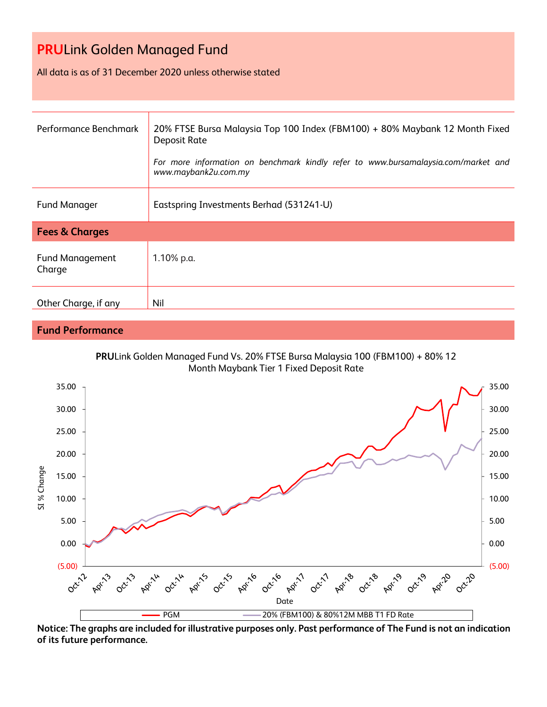All data is as of 31 December 2020 unless otherwise stated

| Performance Benchmark            | 20% FTSE Bursa Malaysia Top 100 Index (FBM100) + 80% Maybank 12 Month Fixed<br>Deposit Rate<br>For more information on benchmark kindly refer to www.bursamalaysia.com/market and<br>www.maybank2u.com.my |  |
|----------------------------------|-----------------------------------------------------------------------------------------------------------------------------------------------------------------------------------------------------------|--|
| <b>Fund Manager</b>              | Eastspring Investments Berhad (531241-U)                                                                                                                                                                  |  |
| <b>Fees &amp; Charges</b>        |                                                                                                                                                                                                           |  |
| <b>Fund Management</b><br>Charge | 1.10% p.a.                                                                                                                                                                                                |  |
| Other Charge, if any             | Nil                                                                                                                                                                                                       |  |

### **Fund Performance**





**Notice: The graphs are included for illustrative purposes only. Past performance of The Fund is not an indication of its future performance.**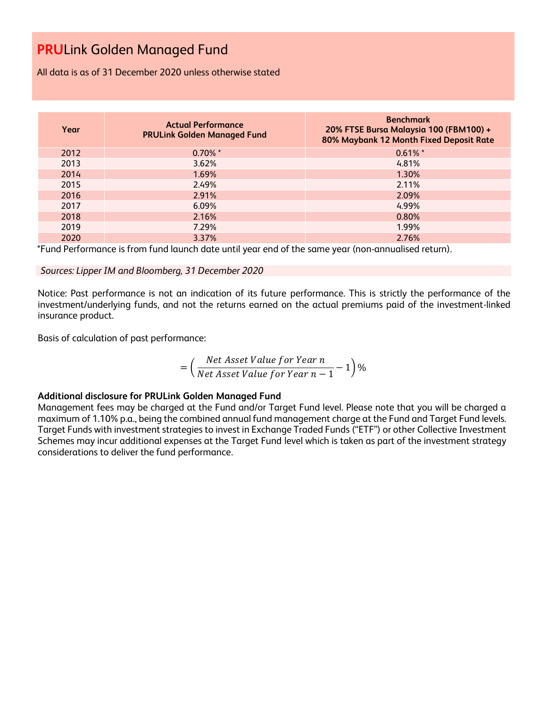All data is as of 31 December 2020 unless otherwise stated

| Year | <b>Actual Performance</b><br><b>PRULink Golden Managed Fund</b> | <b>Benchmark</b><br>20% FTSE Bursa Malaysia 100 (FBM100) +<br>80% Maybank 12 Month Fixed Deposit Rate |
|------|-----------------------------------------------------------------|-------------------------------------------------------------------------------------------------------|
| 2012 | $0.70\%$ *                                                      | $0.61\%$ *                                                                                            |
| 2013 | 3.62%                                                           | 4.81%                                                                                                 |
| 2014 | 1.69%                                                           | 1.30%                                                                                                 |
| 2015 | 2.49%                                                           | 2.11%                                                                                                 |
| 2016 | 2.91%                                                           | 2.09%                                                                                                 |
| 2017 | 6.09%                                                           | 4.99%                                                                                                 |
| 2018 | 2.16%                                                           | 0.80%                                                                                                 |
| 2019 | 7.29%                                                           | 1.99%                                                                                                 |
| 2020 | 3.37%                                                           | 2.76%                                                                                                 |

\*Fund Performance is from fund launch date until year end of the same year (non-annualised return).

### *Sources: Lipper IM and Bloomberg, 31 December 2020*

Notice: Past performance is not an indication of its future performance. This is strictly the performance of the investment/underlying funds, and not the returns earned on the actual premiums paid of the investment-linked insurance product.

Basis of calculation of past performance:

$$
= \left(\frac{Net\text{ Asset Value for Year }n}{Net\text{ Asset Value for Year }n-1}-1\right)\%
$$

### **Additional disclosure for PRULink Golden Managed Fund**

Management fees may be charged at the Fund and/or Target Fund level. Please note that you will be charged a maximum of 1.10% p.a., being the combined annual fund management charge at the Fund and Target Fund levels. Target Funds with investment strategies to invest in Exchange Traded Funds ("ETF") or other Collective Investment Schemes may incur additional expenses at the Target Fund level which is taken as part of the investment strategy considerations to deliver the fund performance.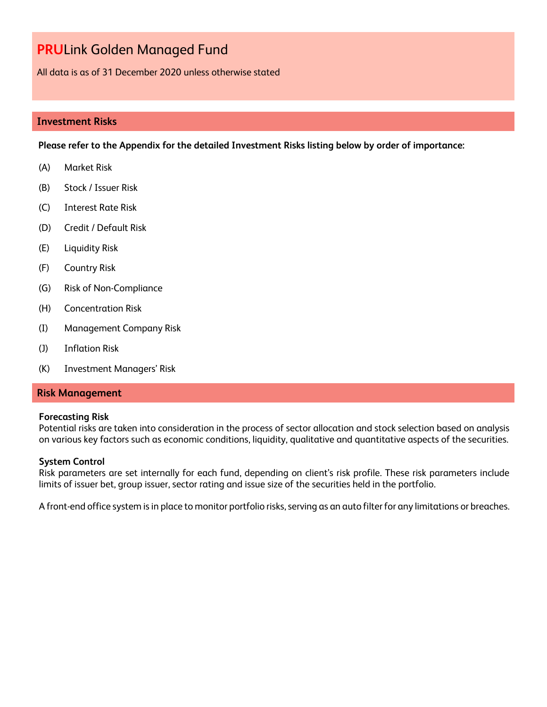All data is as of 31 December 2020 unless otherwise stated

### **Investment Risks**

**Please refer to the Appendix for the detailed Investment Risks listing below by order of importance:**

- (A) Market Risk
- (B) Stock / Issuer Risk
- (C) Interest Rate Risk
- (D) Credit / Default Risk
- (E) Liquidity Risk
- (F) Country Risk
- (G) Risk of Non-Compliance
- (H) Concentration Risk
- (I) Management Company Risk
- (J) Inflation Risk
- (K) Investment Managers' Risk

#### **Risk Management**

#### **Forecasting Risk**

Potential risks are taken into consideration in the process of sector allocation and stock selection based on analysis on various key factors such as economic conditions, liquidity, qualitative and quantitative aspects of the securities.

#### **System Control**

Risk parameters are set internally for each fund, depending on client's risk profile. These risk parameters include limits of issuer bet, group issuer, sector rating and issue size of the securities held in the portfolio.

A front-end office system is in place to monitor portfolio risks, serving as an auto filter for any limitations or breaches.